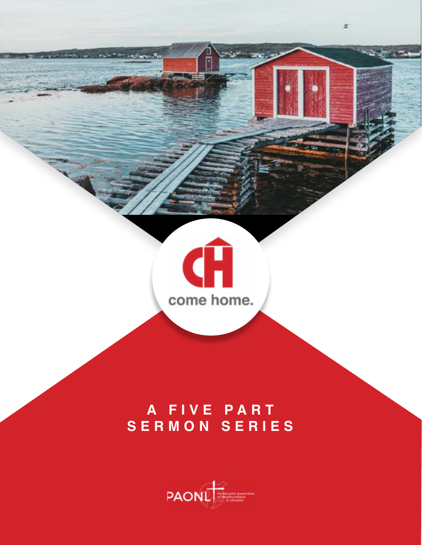

 $\mathcal{I}$ 

## **A FIVE PART SERMON SERIES**

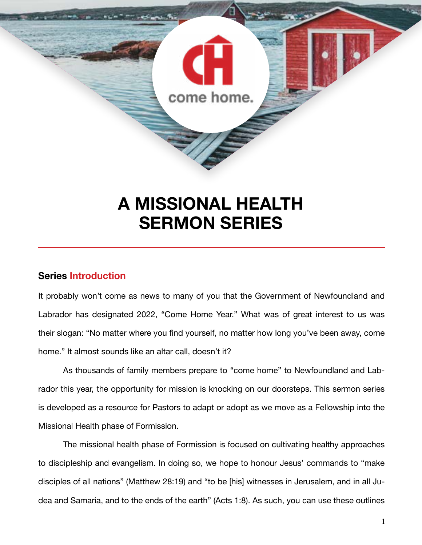

## **A MISSIONAL HEALTH SERMON SERIES**

### **Series Introduction**

It probably won't come as news to many of you that the Government of Newfoundland and Labrador has designated 2022, "Come Home Year." What was of great interest to us was their slogan: "No matter where you find yourself, no matter how long you've been away, come home." It almost sounds like an altar call, doesn't it?

As thousands of family members prepare to "come home" to Newfoundland and Labrador this year, the opportunity for mission is knocking on our doorsteps. This sermon series is developed as a resource for Pastors to adapt or adopt as we move as a Fellowship into the Missional Health phase of Formission.

The missional health phase of Formission is focused on cultivating healthy approaches to discipleship and evangelism. In doing so, we hope to honour Jesus' commands to "make disciples of all nations" (Matthew 28:19) and "to be [his] witnesses in Jerusalem, and in all Judea and Samaria, and to the ends of the earth" (Acts 1:8). As such, you can use these outlines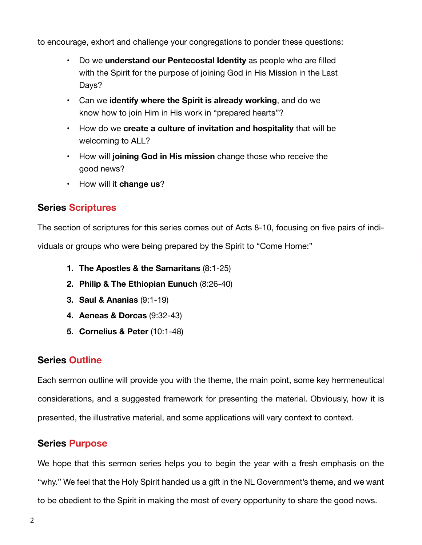to encourage, exhort and challenge your congregations to ponder these questions:

- Do we **understand our Pentecostal Identity** as people who are filled with the Spirit for the purpose of joining God in His Mission in the Last Days?
- Can we **identify where the Spirit is already working**, and do we know how to join Him in His work in "prepared hearts"?
- How do we **create a culture of invitation and hospitality** that will be welcoming to ALL?
- How will **joining God in His mission** change those who receive the good news?
- How will it **change us**?

### **Series Scriptures**

The section of scriptures for this series comes out of Acts 8-10, focusing on five pairs of individuals or groups who were being prepared by the Spirit to "Come Home:"

- **1. The Apostles & the Samaritans** (8:1-25)
- **2. Philip & The Ethiopian Eunuch** (8:26-40)
- **3. Saul & Ananias** (9:1-19)
- **4. Aeneas & Dorcas** (9:32-43)
- **5. Cornelius & Peter** (10:1-48)

### **Series Outline**

Each sermon outline will provide you with the theme, the main point, some key hermeneutical considerations, and a suggested framework for presenting the material. Obviously, how it is presented, the illustrative material, and some applications will vary context to context.

### **Series Purpose**

We hope that this sermon series helps you to begin the year with a fresh emphasis on the "why." We feel that the Holy Spirit handed us a gift in the NL Government's theme, and we want to be obedient to the Spirit in making the most of every opportunity to share the good news.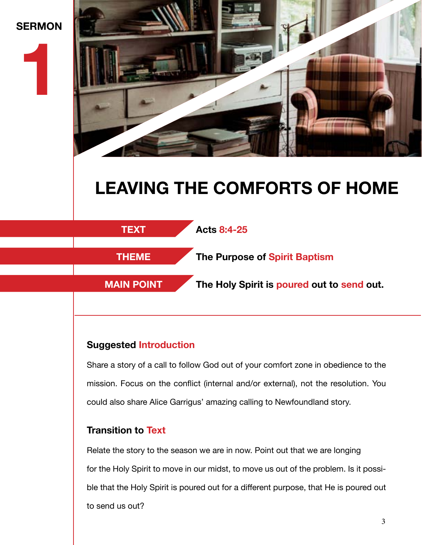## **SERMON**

**1**



## **LEAVING THE COMFORTS OF HOME**



### **Suggested Introduction**

Share a story of a call to follow God out of your comfort zone in obedience to the mission. Focus on the conflict (internal and/or external), not the resolution. You could also share Alice Garrigus' amazing calling to Newfoundland story.

### **Transition to Text**

Relate the story to the season we are in now. Point out that we are longing for the Holy Spirit to move in our midst, to move us out of the problem. Is it possible that the Holy Spirit is poured out for a different purpose, that He is poured out to send us out?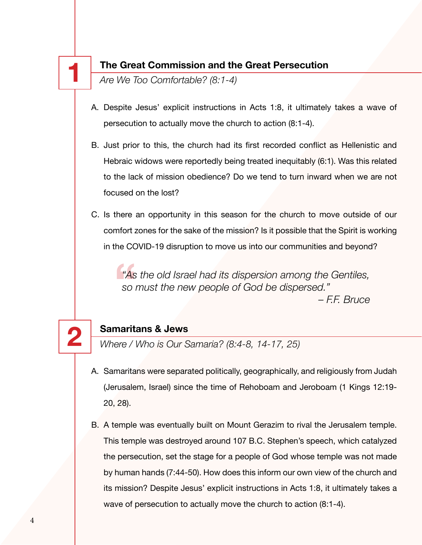### **1 The Great Commission and the Great Persecution**

*Are We Too Comfortable? (8:1-4)*

- A. Despite Jesus' explicit instructions in Acts 1:8, it ultimately takes a wave of persecution to actually move the church to action (8:1-4).
- B. Just prior to this, the church had its first recorded conflict as Hellenistic and Hebraic widows were reportedly being treated inequitably (6:1). Was this related to the lack of mission obedience? Do we tend to turn inward when we are not focused on the lost?
- C. Is there an opportunity in this season for the church to move outside of our comfort zones for the sake of the mission? Is it possible that the Spirit is working in the COVID-19 disruption to move us into our communities and beyond?

**"**As *"As the old Israel had its dispersion among the Gentiles, so must the new people of God be dispersed." – F.F. Bruce*

**2 Samaritans & Jews** *Where / Who is Our Samaria? (8:4-8, 14-17, 25)*

- A. Samaritans were separated politically, geographically, and religiously from Judah (Jerusalem, Israel) since the time of Rehoboam and Jeroboam (1 Kings 12:19- 20, 28).
- B. A temple was eventually built on Mount Gerazim to rival the Jerusalem temple. This temple was destroyed around 107 B.C. Stephen's speech, which catalyzed the persecution, set the stage for a people of God whose temple was not made by human hands (7:44-50). How does this inform our own view of the church and its mission? Despite Jesus' explicit instructions in Acts 1:8, it ultimately takes a wave of persecution to actually move the church to action (8:1-4).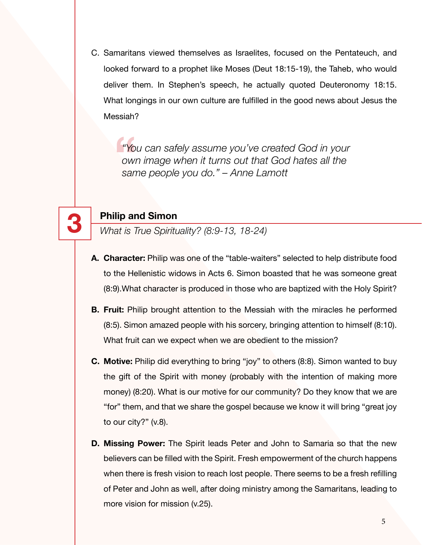C. Samaritans viewed themselves as Israelites, focused on the Pentateuch, and looked forward to a prophet like Moses (Deut 18:15-19), the Taheb, who would deliver them. In Stephen's speech, he actually quoted Deuteronomy 18:15. What longings in our own culture are fulfilled in the good news about Jesus the Messiah?

**"Yo**<br>
OWI<br>
San *"You can safely assume you've created God in your own image when it turns out that God hates all the same people you do." – Anne Lamott*



**3 Philip and Simon** *What is True Spirituality? (8:9-13, 18-24)*

- **A. Character:** Philip was one of the "table-waiters" selected to help distribute food to the Hellenistic widows in Acts 6. Simon boasted that he was someone great (8:9).What character is produced in those who are baptized with the Holy Spirit?
- **B. Fruit:** Philip brought attention to the Messiah with the miracles he performed (8:5). Simon amazed people with his sorcery, bringing attention to himself (8:10). What fruit can we expect when we are obedient to the mission?
- **C. Motive:** Philip did everything to bring "joy" to others (8:8). Simon wanted to buy the gift of the Spirit with money (probably with the intention of making more money) (8:20). What is our motive for our community? Do they know that we are "for" them, and that we share the gospel because we know it will bring "great joy to our city?" (v.8).
- **D. Missing Power:** The Spirit leads Peter and John to Samaria so that the new believers can be filled with the Spirit. Fresh empowerment of the church happens when there is fresh vision to reach lost people. There seems to be a fresh refilling of Peter and John as well, after doing ministry among the Samaritans, leading to more vision for mission (v.25).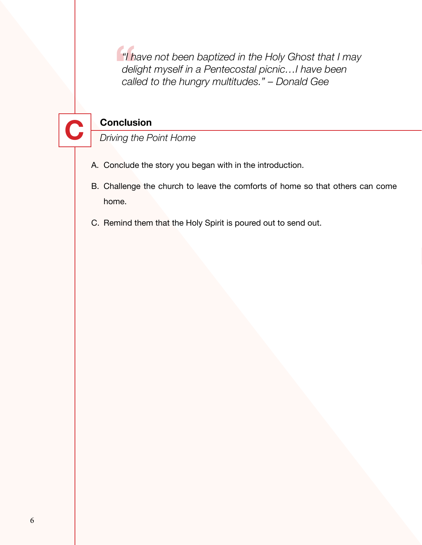<sup>"</sup>I<sup>h</sup><br>dell<br>call *"I have not been baptized in the Holy Ghost that I may delight myself in a Pentecostal picnic…I have been called to the hungry multitudes." – Donald Gee*



- A. Conclude the story you began with in the introduction.
- B. Challenge the church to leave the comforts of home so that others can come home.
- C. Remind them that the Holy Spirit is poured out to send out.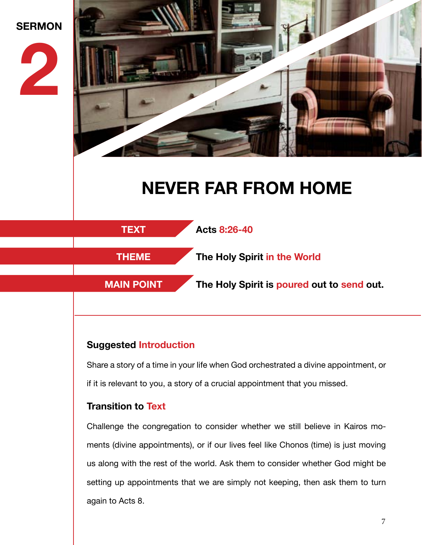

### **Suggested Introduction**

Share a story of a time in your life when God orchestrated a divine appointment, or if it is relevant to you, a story of a crucial appointment that you missed.

### **Transition to Text**

Challenge the congregation to consider whether we still believe in Kairos moments (divine appointments), or if our lives feel like Chonos (time) is just moving us along with the rest of the world. Ask them to consider whether God might be setting up appointments that we are simply not keeping, then ask them to turn again to Acts 8.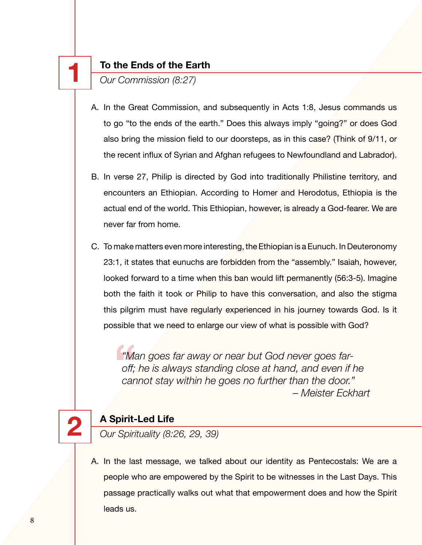**1 To the Ends of the Earth**  *Our Commission (8:27)*

- A. In the Great Commission, and subsequently in Acts 1:8, Jesus commands us to go "to the ends of the earth." Does this always imply "going?" or does God also bring the mission field to our doorsteps, as in this case? (Think of 9/11, or the recent influx of Syrian and Afghan refugees to Newfoundland and Labrador).
- B. In verse 27, Philip is directed by God into traditionally Philistine territory, and encounters an Ethiopian. According to Homer and Herodotus, Ethiopia is the actual end of the world. This Ethiopian, however, is already a God-fearer. We are never far from home.
- C. To make matters even more interesting, the Ethiopian is a Eunuch. In Deuteronomy 23:1, it states that eunuchs are forbidden from the "assembly." Isaiah, however, looked forward to a time when this ban would lift permanently (56:3-5). Imagine both the faith it took or Philip to have this conversation, and also the stigma this pilgrim must have regularly experienced in his journey towards God. Is it possible that we need to enlarge our view of what is possible with God?

**"Mand"**<br>off;<br>car *"Man goes far away or near but God never goes faroff; he is always standing close at hand, and even if he cannot stay within he goes no further than the door." – Meister Eckhart*



**2 A Spirit-Led Life** *Our Spirituality (8:26, 29, 39)*

A. In the last message, we talked about our identity as Pentecostals: We are a people who are empowered by the Spirit to be witnesses in the Last Days. This passage practically walks out what that empowerment does and how the Spirit leads us.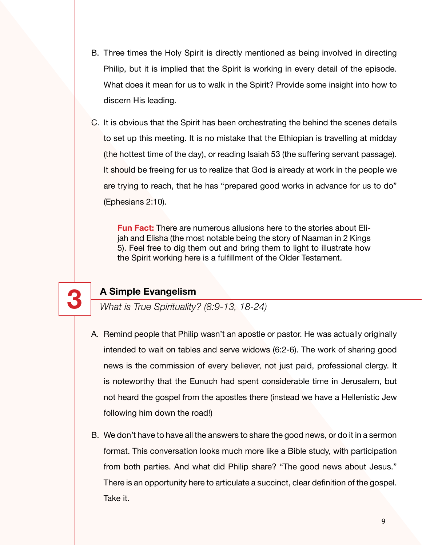- B. Three times the Holy Spirit is directly mentioned as being involved in directing Philip, but it is implied that the Spirit is working in every detail of the episode. What does it mean for us to walk in the Spirit? Provide some insight into how to discern His leading.
- C. It is obvious that the Spirit has been orchestrating the behind the scenes details to set up this meeting. It is no mistake that the Ethiopian is travelling at midday (the hottest time of the day), or reading Isaiah 53 (the suffering servant passage). It should be freeing for us to realize that God is already at work in the people we are trying to reach, that he has "prepared good works in advance for us to do" (Ephesians 2:10).

**Fun Fact:** There are numerous allusions here to the stories about Elijah and Elisha (the most notable being the story of Naaman in 2 Kings 5). Feel free to dig them out and bring them to light to illustrate how the Spirit working here is a fulfillment of the Older Testament.



**3 A Simple Evangelism** *What is True Spirituality? (8:9-13, 18-24)*

- A. Remind people that Philip wasn't an apostle or pastor. He was actually originally intended to wait on tables and serve widows (6:2-6). The work of sharing good news is the commission of every believer, not just paid, professional clergy. It is noteworthy that the Eunuch had spent considerable time in Jerusalem, but not heard the gospel from the apostles there (instead we have a Hellenistic Jew following him down the road!)
- B. We don't have to have all the answers to share the good news, or do it in a sermon format. This conversation looks much more like a Bible study, with participation from both parties. And what did Philip share? "The good news about Jesus." There is an opportunity here to articulate a succinct, clear definition of the gospel. Take it.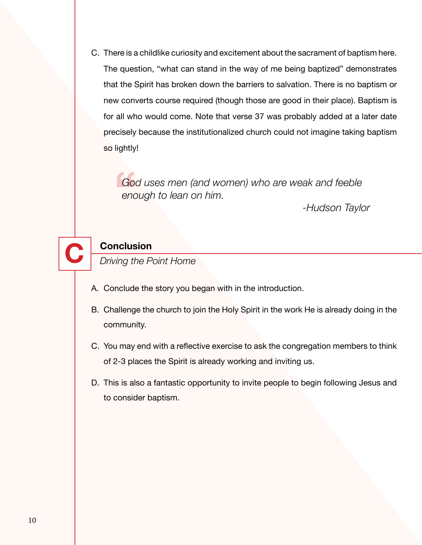C. There is a childlike curiosity and excitement about the sacrament of baptism here. The question, "what can stand in the way of me being baptized" demonstrates that the Spirit has broken down the barriers to salvation. There is no baptism or new converts course required (though those are good in their place). Baptism is for all who would come. Note that verse 37 was probably added at a later date precisely because the institutionalized church could not imagine taking baptism so lightly!

 $rac{1}{2}$ *God uses men (and women) who are weak and feeble enough to lean on him.*

*-Hudson Taylor*



- A. Conclude the story you began with in the introduction.
- B. Challenge the church to join the Holy Spirit in the work He is already doing in the community.
- C. You may end with a reflective exercise to ask the congregation members to think of 2-3 places the Spirit is already working and inviting us.
- D. This is also a fantastic opportunity to invite people to begin following Jesus and to consider baptism.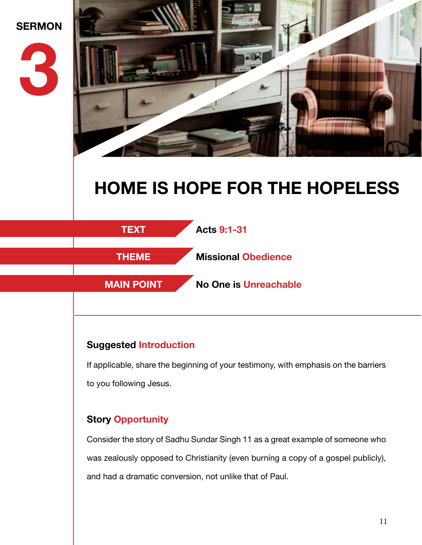



# **HOME IS HOPE FOR THE HOPELESS**



### **Suggested Introduction**

If applicable, share the beginning of your testimony, with emphasis on the barriers to you following Jesus.

### **Story Opportunity**

Consider the story of Sadhu Sundar Singh 11 as a great example of someone who was zealously opposed to Christianity (even burning a copy of a gospel publicly), and had a dramatic conversion, not unlike that of Paul.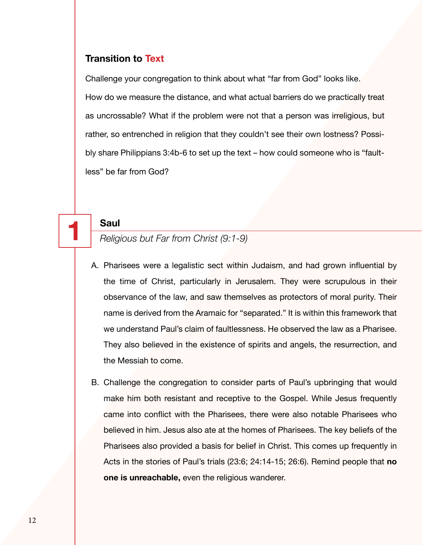### **Transition to Text**

Challenge your congregation to think about what "far from God" looks like. How do we measure the distance, and what actual barriers do we practically treat as uncrossable? What if the problem were not that a person was irreligious, but rather, so entrenched in religion that they couldn't see their own lostness? Possibly share Philippians 3:4b-6 to set up the text – how could someone who is "faultless" be far from God?

**1 Saul** *Religious but Far from Christ (9:1-9)*

- A. Pharisees were a legalistic sect within Judaism, and had grown influential by the time of Christ, particularly in Jerusalem. They were scrupulous in their observance of the law, and saw themselves as protectors of moral purity. Their name is derived from the Aramaic for "separated." It is within this framework that we understand Paul's claim of faultlessness. He observed the law as a Pharisee. They also believed in the existence of spirits and angels, the resurrection, and the Messiah to come.
- B. Challenge the congregation to consider parts of Paul's upbringing that would make him both resistant and receptive to the Gospel. While Jesus frequently came into conflict with the Pharisees, there were also notable Pharisees who believed in him. Jesus also ate at the homes of Pharisees. The key beliefs of the Pharisees also provided a basis for belief in Christ. This comes up frequently in Acts in the stories of Paul's trials (23:6; 24:14-15; 26:6). Remind people that **no one is unreachable,** even the religious wanderer.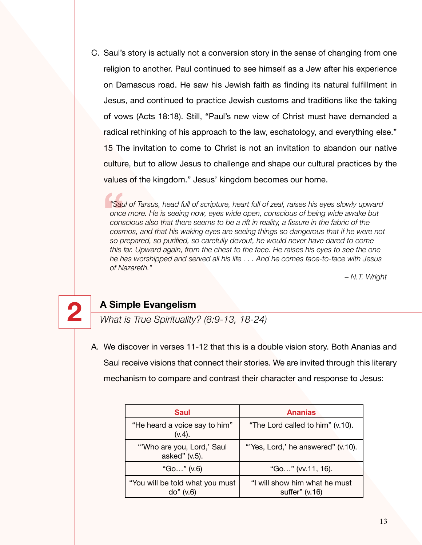C. Saul's story is actually not a conversion story in the sense of changing from one religion to another. Paul continued to see himself as a Jew after his experience on Damascus road. He saw his Jewish faith as finding its natural fulfillment in Jesus, and continued to practice Jewish customs and traditions like the taking of vows (Acts 18:18). Still, "Paul's new view of Christ must have demanded a radical rethinking of his approach to the law, eschatology, and everything else." 15 The invitation to come to Christ is not an invitation to abandon our native culture, but to allow Jesus to challenge and shape our cultural practices by the values of the kingdom." Jesus' kingdom becomes our home.

*"Saul of Tarsus, head full of scripture, heart full of zeal, raises his eyes slowly upward once more. He is seeing now, eyes wide open, conscious of being wide awake but conscious also that there seems to be a rift in reality, a fissure in the fabric of the cosmos, and that his waking eyes are seeing things so dangerous that if he were not so prepared, so purified, so carefully devout, he would never have dared to come this far. Upward again, from the chest to the face. He raises his eyes to see the one he has worshipped and served all his life . . . And he comes face-to-face with Jesus of Nazareth."* **"Sau**<br>
once<br>
cons<br>
cosn<br>
so P

*– N.T. Wright*



**2 A Simple Evangelism** *What is True Spirituality? (8:9-13, 18-24)*

A. We discover in verses 11-12 that this is a double vision story. Both Ananias and Saul receive visions that connect their stories. We are invited through this literary mechanism to compare and contrast their character and response to Jesus:

| <b>Saul</b>                                   | <b>Ananias</b>                                  |
|-----------------------------------------------|-------------------------------------------------|
| "He heard a voice say to him"<br>$(v.4)$ .    | "The Lord called to him" (v.10).                |
| "'Who are you, Lord,' Saul<br>asked" (v.5).   | "'Yes, Lord,' he answered" (v.10).              |
| "Go" (v.6)                                    | "Go" (vv.11, 16).                               |
| "You will be told what you must<br>do'' (v.6) | "I will show him what he must<br>suffer" (v.16) |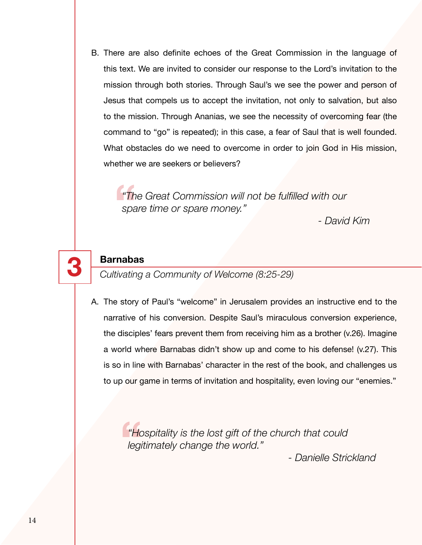B. There are also definite echoes of the Great Commission in the language of this text. We are invited to consider our response to the Lord's invitation to the mission through both stories. Through Saul's we see the power and person of Jesus that compels us to accept the invitation, not only to salvation, but also to the mission. Through Ananias, we see the necessity of overcoming fear (the command to "go" is repeated); in this case, a fear of Saul that is well founded. What obstacles do we need to overcome in order to join God in His mission, whether we are seekers or believers?

**"Th**<br>spa *"The Great Commission will not be fulfilled with our spare time or spare money."* 

*- David Kim*

**3 Barnabas** *Cultivating a Community of Welcome (8:25-29)*

A. The story of Paul's "welcome" in Jerusalem provides an instructive end to the narrative of his conversion. Despite Saul's miraculous conversion experience, the disciples' fears prevent them from receiving him as a brother (v.26). Imagine a world where Barnabas didn't show up and come to his defense! (v.27). This is so in line with Barnabas' character in the rest of the book, and challenges us to up our game in terms of invitation and hospitality, even loving our "enemies."

<sup>"Hc</sup><br> **Hegi** *"Hospitality is the lost gift of the church that could legitimately change the world."*

*- Danielle Strickland*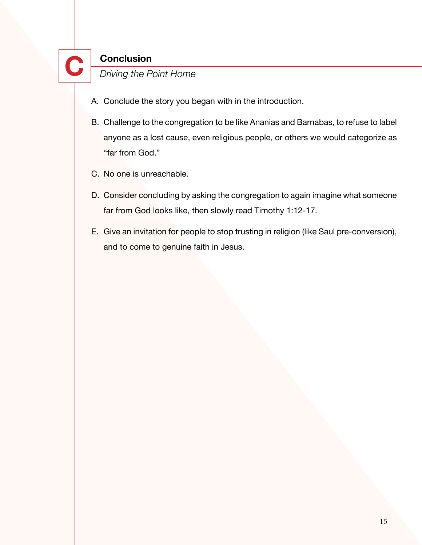- A. Conclude the story you began with in the introduction.
- B. Challenge to the congregation to be like Ananias and Barnabas, to refuse to label anyone as a lost cause, even religious people, or others we would categorize as "far from God."
- C. No one is unreachable.
- D. Consider concluding by asking the congregation to again imagine what someone far from God looks like, then slowly read Timothy 1:12-17.
- E. Give an invitation for people to stop trusting in religion (like Saul pre-conversion), and to come to genuine faith in Jesus.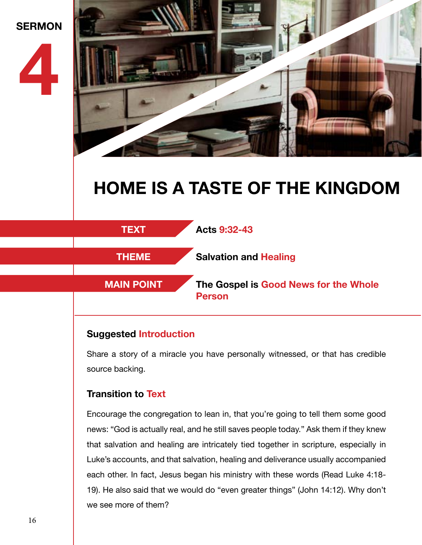



# **HOME IS A TASTE OF THE KINGDOM**



### **Suggested Introduction**

Share a story of a miracle you have personally witnessed, or that has credible source backing.

### **Transition to Text**

Encourage the congregation to lean in, that you're going to tell them some good news: "God is actually real, and he still saves people today." Ask them if they knew that salvation and healing are intricately tied together in scripture, especially in Luke's accounts, and that salvation, healing and deliverance usually accompanied each other. In fact, Jesus began his ministry with these words (Read Luke 4:18- 19). He also said that we would do "even greater things" (John 14:12). Why don't we see more of them?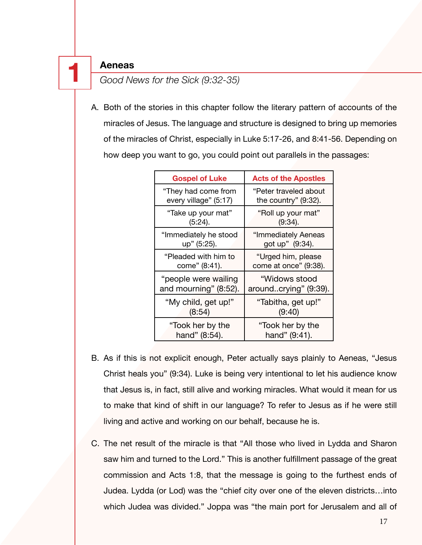**1 Aeneas** *Good News for the Sick (9:32-35)*

A. Both of the stories in this chapter follow the literary pattern of accounts of the miracles of Jesus. The language and structure is designed to bring up memories of the miracles of Christ, especially in Luke 5:17-26, and 8:41-56. Depending on how deep you want to go, you could point out parallels in the passages:

| <b>Gospel of Luke</b> | <b>Acts of the Apostles</b> |
|-----------------------|-----------------------------|
| "They had come from   | "Peter traveled about       |
| every village" (5:17) | the country" (9:32).        |
| "Take up your mat"    | "Roll up your mat"          |
| $(5:24)$ .            | (9:34).                     |
| "Immediately he stood | "Immediately Aeneas         |
| up" (5:25).           | got up" (9:34).             |
| "Pleaded with him to  | "Urged him, please          |
| come" (8:41).         | come at once" (9:38).       |
| "people were wailing  | "Widows stood               |
| and mourning" (8:52). | aroundcrying" (9:39).       |
| "My child, get up!"   | "Tabitha, get up!"          |
| (8:54)                | (9:40)                      |
| "Took her by the      | "Took her by the            |
| hand" (8:54).         | hand" (9:41).               |

- B. As if this is not explicit enough, Peter actually says plainly to Aeneas, "Jesus Christ heals you" (9:34). Luke is being very intentional to let his audience know that Jesus is, in fact, still alive and working miracles. What would it mean for us to make that kind of shift in our language? To refer to Jesus as if he were still living and active and working on our behalf, because he is.
- C. The net result of the miracle is that "All those who lived in Lydda and Sharon saw him and turned to the Lord." This is another fulfillment passage of the great commission and Acts 1:8, that the message is going to the furthest ends of Judea. Lydda (or Lod) was the "chief city over one of the eleven districts…into which Judea was divided." Joppa was "the main port for Jerusalem and all of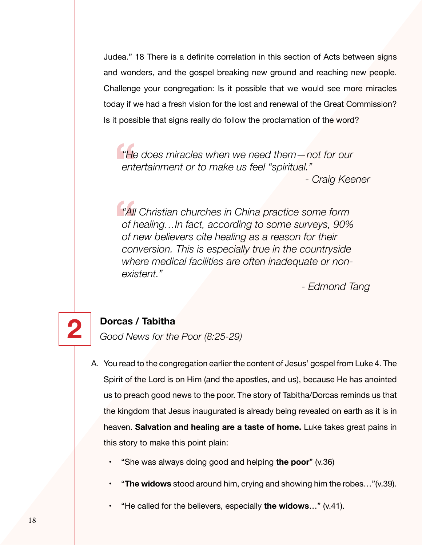Judea." 18 There is a definite correlation in this section of Acts between signs and wonders, and the gospel breaking new ground and reaching new people. Challenge your congregation: Is it possible that we would see more miracles today if we had a fresh vision for the lost and renewal of the Great Commission? Is it possible that signs really do follow the proclamation of the word?

<sup>"He</sup><br>ent *"He does miracles when we need them—not for our entertainment or to make us feel "spiritual." - Craig Keener*

**"**<br> **All**<br>
of *t*<br>
of *r "All Christian churches in China practice some form of healing…In fact, according to some surveys, 90% of new believers cite healing as a reason for their conversion. This is especially true in the countryside where medical facilities are often inadequate or nonexistent."*

*- Edmond Tang*

**2 Dorcas / Tabitha** *Good News for the Poor (8:25-29)*

- A. You read to the congregation earlier the content of Jesus' gospel from Luke 4. The Spirit of the Lord is on Him (and the apostles, and us), because He has anointed us to preach good news to the poor. The story of Tabitha/Dorcas reminds us that the kingdom that Jesus inaugurated is already being revealed on earth as it is in heaven. **Salvation and healing are a taste of home.** Luke takes great pains in this story to make this point plain:
	- "She was always doing good and helping **the poor**" (v.36)
	- "**The widows** stood around him, crying and showing him the robes…"(v.39).
	- "He called for the believers, especially **the widows**…" (v.41).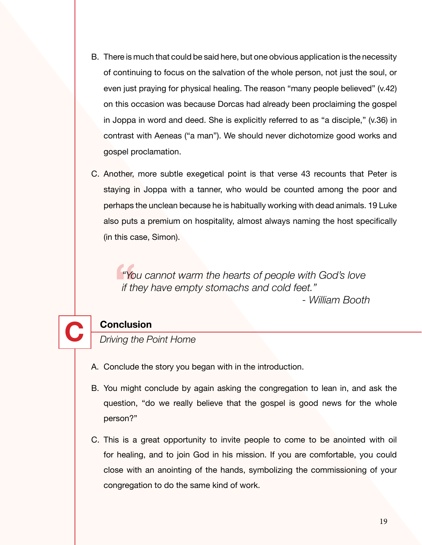- B. There is much that could be said here, but one obvious application is the necessity of continuing to focus on the salvation of the whole person, not just the soul, or even just praying for physical healing. The reason "many people believed" (v.42) on this occasion was because Dorcas had already been proclaiming the gospel in Joppa in word and deed. She is explicitly referred to as "a disciple," (v.36) in contrast with Aeneas ("a man"). We should never dichotomize good works and gospel proclamation.
- C. Another, more subtle exegetical point is that verse 43 recounts that Peter is staying in Joppa with a tanner, who would be counted among the poor and perhaps the unclean because he is habitually working with dead animals. 19 Luke also puts a premium on hospitality, almost always naming the host specifically (in this case, Simon).

**"Yo**<br>if the *"You cannot warm the hearts of people with God's love if they have empty stomachs and cold feet." - William Booth*



- A. Conclude the story you began with in the introduction.
- B. You might conclude by again asking the congregation to lean in, and ask the question, "do we really believe that the gospel is good news for the whole person?"
- C. This is a great opportunity to invite people to come to be anointed with oil for healing, and to join God in his mission. If you are comfortable, you could close with an anointing of the hands, symbolizing the commissioning of your congregation to do the same kind of work.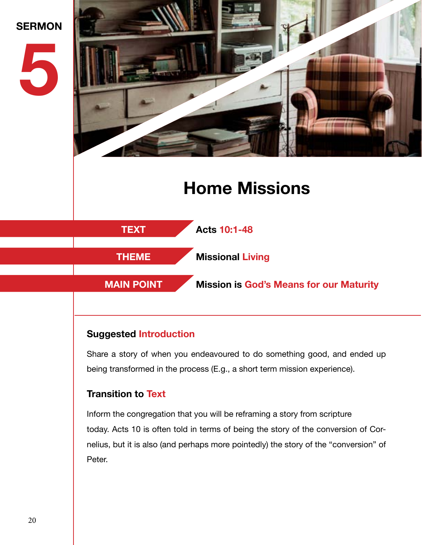

### **Suggested Introduction**

Share a story of when you endeavoured to do something good, and ended up being transformed in the process (E.g., a short term mission experience).

### **Transition to Text**

Inform the congregation that you will be reframing a story from scripture today. Acts 10 is often told in terms of being the story of the conversion of Cornelius, but it is also (and perhaps more pointedly) the story of the "conversion" of Peter.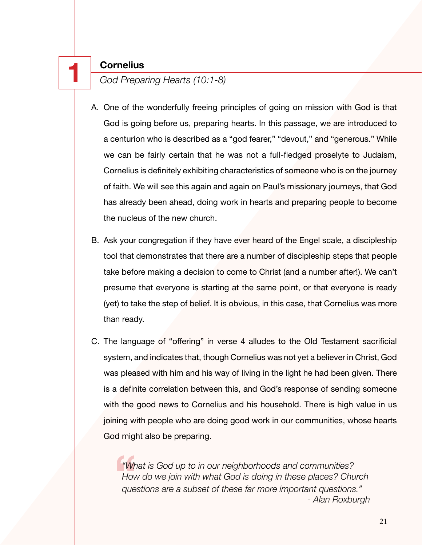**1 Cornelius** *God Preparing Hearts (10:1-8)*

- A. One of the wonderfully freeing principles of going on mission with God is that God is going before us, preparing hearts. In this passage, we are introduced to a centurion who is described as a "god fearer," "devout," and "generous." While we can be fairly certain that he was not a full-fledged proselyte to Judaism, Cornelius is definitely exhibiting characteristics of someone who is on the journey of faith. We will see this again and again on Paul's missionary journeys, that God has already been ahead, doing work in hearts and preparing people to become the nucleus of the new church.
- B. Ask your congregation if they have ever heard of the Engel scale, a discipleship tool that demonstrates that there are a number of discipleship steps that people take before making a decision to come to Christ (and a number after!). We can't presume that everyone is starting at the same point, or that everyone is ready (yet) to take the step of belief. It is obvious, in this case, that Cornelius was more than ready.
- C. The language of "offering" in verse 4 alludes to the Old Testament sacrificial system, and indicates that, though Cornelius was not yet a believer in Christ, God was pleased with him and his way of living in the light he had been given. There is a definite correlation between this, and God's response of sending someone with the good news to Cornelius and his household. There is high value in us joining with people who are doing good work in our communities, whose hearts God might also be preparing.

**"Wr**<br>Hov<br>que *"What is God up to in our neighborhoods and communities? How do we join with what God is doing in these places? Church questions are a subset of these far more important questions." - Alan Roxburgh*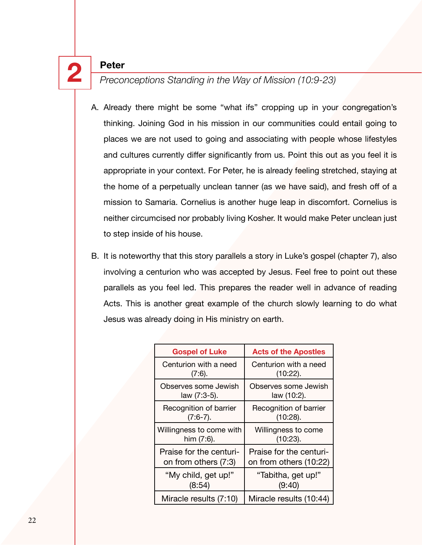**2 Peter** *Preconceptions Standing in the Way of Mission (10:9-23)*

- A. Already there might be some "what ifs" cropping up in your congregation's thinking. Joining God in his mission in our communities could entail going to places we are not used to going and associating with people whose lifestyles and cultures currently differ significantly from us. Point this out as you feel it is appropriate in your context. For Peter, he is already feeling stretched, staying at the home of a perpetually unclean tanner (as we have said), and fresh off of a mission to Samaria. Cornelius is another huge leap in discomfort. Cornelius is neither circumcised nor probably living Kosher. It would make Peter unclean just to step inside of his house.
- B. It is noteworthy that this story parallels a story in Luke's gospel (chapter 7), also involving a centurion who was accepted by Jesus. Feel free to point out these parallels as you feel led. This prepares the reader well in advance of reading Acts. This is another great example of the church slowly learning to do what Jesus was already doing in His ministry on earth.

| <b>Gospel of Luke</b>    | <b>Acts of the Apostles</b> |
|--------------------------|-----------------------------|
| Centurion with a need    | Centurion with a need       |
| (7:6).                   | $(10:22)$ .                 |
| Observes some Jewish     | Observes some Jewish        |
| law (7:3-5).             | law (10:2).                 |
| Recognition of barrier   | Recognition of barrier      |
| $(7:6-7)$ .              | (10:28).                    |
| Willingness to come with | Willingness to come         |
| him $(7:6)$ .            | $(10:23)$ .                 |
| Praise for the centuri-  | Praise for the centuri-     |
| on from others (7:3)     | on from others (10:22)      |
| "My child, get up!"      | "Tabitha, get up!"          |
| (8:54)                   | (9:40)                      |
| Miracle results (7:10)   | Miracle results (10:44)     |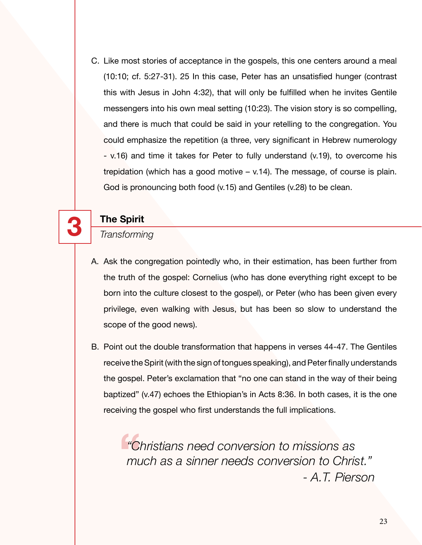C. Like most stories of acceptance in the gospels, this one centers around a meal (10:10; cf. 5:27-31). 25 In this case, Peter has an unsatisfied hunger (contrast this with Jesus in John 4:32), that will only be fulfilled when he invites Gentile messengers into his own meal setting (10:23). The vision story is so compelling, and there is much that could be said in your retelling to the congregation. You could emphasize the repetition (a three, very significant in Hebrew numerology - v.16) and time it takes for Peter to fully understand (v.19), to overcome his trepidation (which has a good motive – v.14). The message, of course is plain. God is pronouncing both food (v.15) and Gentiles (v.28) to be clean.



# **3 The Spirit** *Transforming*

- A. Ask the congregation pointedly who, in their estimation, has been further from the truth of the gospel: Cornelius (who has done everything right except to be born into the culture closest to the gospel), or Peter (who has been given every privilege, even walking with Jesus, but has been so slow to understand the scope of the good news).
- B. Point out the double transformation that happens in verses 44-47. The Gentiles receive the Spirit (with the sign of tongues speaking), and Peter finally understands the gospel. Peter's exclamation that "no one can stand in the way of their being baptized" (v.47) echoes the Ethiopian's in Acts 8:36. In both cases, it is the one receiving the gospel who first understands the full implications.

**"** *"Christians need conversion to missions as much as a sinner needs conversion to Christ." - A.T. Pierson*